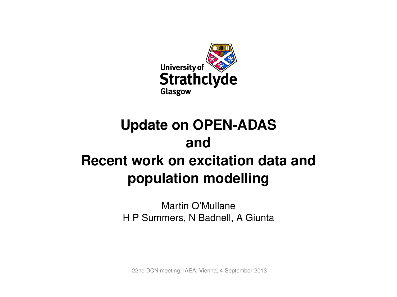

# **Update on OPEN-ADAS and Recent work on excitation data and population modelling**

Martin O'Mullane H P Summers, N Badnell, A Giunta

22nd DCN meeting, IAEA, Vienna, 4-September-2013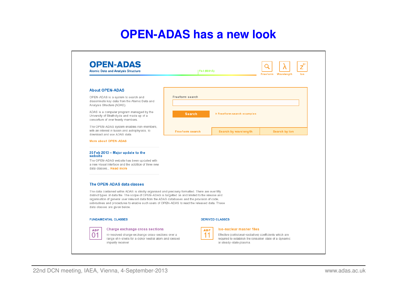### **OPEN-ADAS has a new look**

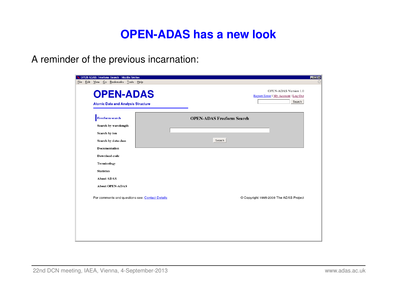### **OPEN-ADAS has a new look**

A reminder of the previous incarnation:

| OPEN-ADAS: Freeform Search - Mozilla Firefox<br>File Edit View Go Bookmarks Tools Help |                                  |                                                                        | $\blacksquare$ $\blacksquare$ $\times$ |
|----------------------------------------------------------------------------------------|----------------------------------|------------------------------------------------------------------------|----------------------------------------|
| <b>OPEN-ADAS</b><br><b>Atomic Data and Analysis Structure</b>                          |                                  | OPEN-ADAS Version 1.0<br>Report Error   My Account   Log Out<br>Search |                                        |
| <b>Freeform search</b><br>Search by wavelength                                         | <b>OPEN-ADAS Freeform Search</b> |                                                                        |                                        |
| Search by ion<br>Search by data class<br><b>Documentation</b>                          | Search                           |                                                                        |                                        |
| Download code<br>Terminology                                                           |                                  |                                                                        |                                        |
| <b>Statistics</b><br><b>About ADAS</b><br><b>About OPEN-ADAS</b>                       |                                  |                                                                        |                                        |
| For comments and questions see: Contact Details                                        |                                  | © Copyright 1995-2008 The ADAS Project                                 |                                        |
|                                                                                        |                                  |                                                                        |                                        |
|                                                                                        |                                  |                                                                        |                                        |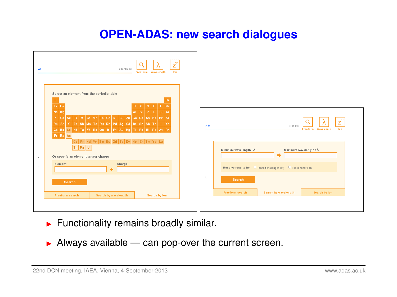### **OPEN-ADAS: new search dialogues**

| Å).          | $Z^{q+}$<br>$\lambda$<br>Search by:<br>Freeform Wavelength<br>lon                                                                                                                                                                                                                                                                                                                                                                                            |                                                                          |
|--------------|--------------------------------------------------------------------------------------------------------------------------------------------------------------------------------------------------------------------------------------------------------------------------------------------------------------------------------------------------------------------------------------------------------------------------------------------------------------|--------------------------------------------------------------------------|
|              | Select an element from the periodic table<br>H<br>He<br>Li Be<br>B C N O F Ne<br>$\mathsf{A}$ l $\mathsf{S}$ i $\mathsf{P}$ $\mathsf{S}$ $\mathsf{C}$ l $\mathsf{A}$ r<br>Na Mg<br>K Ca Sc Ti V Cr Mn Fe Co Ni Cu Zn Ga Ge As Se Br Kr<br>Rb Sr Y Zr Nb Mo Tc Ru Rh Pd Ag Cd In Sn Sb Te I Xe<br>Cs Ba La Hf   Ta   W   Re   Os   Ir   Pt   Au   Hg   TI   Pb   Bi   Po   At   Rn<br>Fr Ra Ac<br>$ Ce  Pr  Nd  Pm  Sm  Eu  Gd  Tb  Dy  Ho  Er  Tm  Yb  Lu  $ | $Z^{q+}$<br>$3.1\text{\AA}$<br>arch by:<br>Wavelength<br>lon<br>Freeform |
| $\mathbf{v}$ | $Th$ $Pa$ $U$<br>Or specify an element and/or charge                                                                                                                                                                                                                                                                                                                                                                                                         | Minimum wavelength / Å<br>Maximum wavelength / Å<br>⇒                    |
|              | Element<br>Charge<br>٠                                                                                                                                                                                                                                                                                                                                                                                                                                       | Resolve results by O Transition (longer list) O File (shorter list)      |
|              | Search                                                                                                                                                                                                                                                                                                                                                                                                                                                       | S,<br>Search                                                             |
|              | Search by wavelength<br><b>Freeform search</b><br>Search by ion                                                                                                                                                                                                                                                                                                                                                                                              | <b>Search by wavelength</b><br>Search by ion<br>Freeform search          |
|              |                                                                                                                                                                                                                                                                                                                                                                                                                                                              |                                                                          |

- $\blacktriangleright$  Functionality remains broadly similar.
- $\blacktriangleright$  Always available can pop-over the current screen.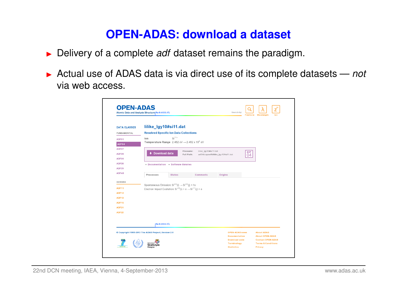# **OPEN-ADAS: download a dataset**

- **Delivery of a complete** *adf* **dataset remains the paradigm.**
- ▶ Actual use of ADAS data is via direct use of its complete datasets *not* via web access.

| <b>DATA CLASSES</b> | lilike_lgy10#si11.dat                                                     |                                      |                                                  |                                               |                  |                                             |
|---------------------|---------------------------------------------------------------------------|--------------------------------------|--------------------------------------------------|-----------------------------------------------|------------------|---------------------------------------------|
| <b>FUNDAMENTAL</b>  | <b>Resolved Specific Ion Data Collections</b>                             |                                      |                                                  |                                               |                  |                                             |
| ADF01               | lon                                                                       | $Si11+$                              |                                                  |                                               |                  |                                             |
| ADF04               | Temperature Range 2.482 eV $\rightarrow$ 2.482 x 10 <sup>4</sup> eV       |                                      |                                                  |                                               |                  |                                             |
| ADF07               |                                                                           |                                      |                                                  |                                               |                  |                                             |
| ADF08               | Download data                                                             |                                      | lilike_lgy10#si11.dat<br>Filename:<br>Full Path: | adf04/copaw#li/lilike_lgy10#si11.dat          | <b>ADF</b><br>04 |                                             |
| ADF09               |                                                                           |                                      |                                                  |                                               |                  |                                             |
| ADF38               |                                                                           | • Documentation • Software libraries |                                                  |                                               |                  |                                             |
| ADF39               |                                                                           |                                      |                                                  |                                               |                  |                                             |
| ADF48               | Processes                                                                 | <b>States</b>                        | <b>Comments</b>                                  | <b>Origins</b>                                |                  |                                             |
| DERIVED             |                                                                           |                                      |                                                  |                                               |                  |                                             |
| ADF <sub>11</sub>   | Spontaneous Emission: $Si^{+11}(i) \rightarrow Si^{+11}(j) + hv$          |                                      |                                                  |                                               |                  |                                             |
| <b>ADF12</b>        | Electron Impact Excitation: $Si^{+11}(i) + e \rightarrow Si^{+11}(i) + e$ |                                      |                                                  |                                               |                  |                                             |
| ADF <sub>13</sub>   |                                                                           |                                      |                                                  |                                               |                  |                                             |
| <b>ADF15</b>        |                                                                           |                                      |                                                  |                                               |                  |                                             |
| ADF <sub>21</sub>   |                                                                           |                                      |                                                  |                                               |                  |                                             |
| ADF22               |                                                                           |                                      |                                                  |                                               |                  |                                             |
|                     |                                                                           |                                      |                                                  |                                               |                  |                                             |
|                     | Ra II (4533.1Å)                                                           |                                      |                                                  |                                               |                  |                                             |
|                     |                                                                           |                                      |                                                  |                                               |                  |                                             |
|                     | © Copyright 1995-2013 The ADAS Project, Version 2.0                       |                                      |                                                  | <b>OPEN-ADAS news</b><br><b>Documentation</b> |                  | <b>About ADAS</b><br><b>About OPEN-ADAS</b> |
|                     |                                                                           |                                      |                                                  |                                               |                  | <b>Contact OPEN-ADAS</b>                    |
|                     |                                                                           |                                      |                                                  | <b>Download code</b>                          |                  |                                             |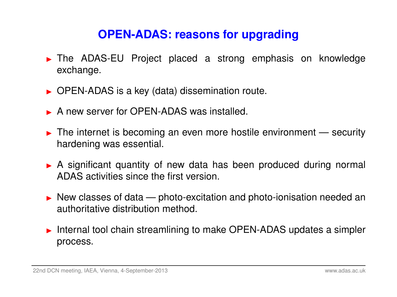# **OPEN-ADAS: reasons for upgrading**

- The ADAS-EU Project placed a strong emphasis on knowledge exchange.
- $\triangleright$  OPEN-ADAS is a key (data) dissemination route.
- A new server for OPEN-ADAS was installed.
- $\blacktriangleright$  The internet is becoming an even more hostile environment security hardening was essential.
- A significant quantity of new data has been produced during normal ADAS activities since the first version.
- $\triangleright$  New classes of data photo-excitation and photo-ionisation needed an authoritative distribution method.
- $\triangleright$  Internal tool chain streamlining to make OPEN-ADAS updates a simpler process.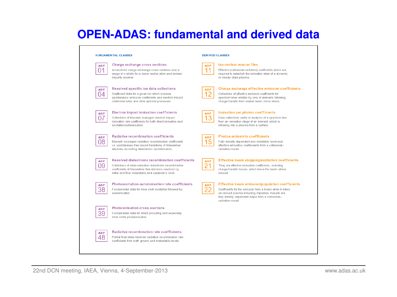### **OPEN-ADAS: fundamental and derived data**

#### **FUNDAMENTAL CLASSES**

#### **Charge exchange cross sections**

nl-resolved charge exchange cross-sections over a range of n-shells for a donor neutral atom and ionised impurity receiver

#### Resolved specific ion data collections

Coefficient data for a given ion which includes spontaneous emission coefficients and electron impact collisional rates and other optional processes.

**ADF** 

08

### **Electron impact ionisation coefficients**

Collections of Maxwell averaged electron impact onisation rate coefficients for both direct ionisation and excitation/autoionisation.

#### **Radiative recombination coefficients**

Maxwell-averaged radiative recombination coefficients i.e. spontaneous free-bound transitions of Maxwellian electrons excluding dielectronic recombination.



#### Resolved dielectronic recombination coefficients

Collections of state-selective dielectronic recombination coefficients of Maxwellian free electrons resolved by initial and final metastable and captured n-shell.

### **ADF** 38

#### Photoexcitation-autoionisation rate coefficients

Fundamental data for inner shell excitation followed by autoionisation

#### hotoionisation cross-sections undamental data for direct (including and especially

inner shell) photoionisation.

#### Radiative recombination rate coefficients

Partial final-state resolved radiative recombination rate coefficients from both ground and metastable levels.

#### **DERIVED CLASSES**

| <b>ADF</b> | <b>Iso-nuclear master files</b>   |
|------------|-----------------------------------|
|            | Effective (collisional-radiative) |
|            | required to establish the ionisa  |

#### Effective (collisional-radiative) coefficients which are required to establish the ionisation state of a dynamic

| Coller |
|--------|
|        |

### or steady-state plasma.

|  |  | rge exchange effective emission coefficients |
|--|--|----------------------------------------------|

Collections of effective emission coefficients for spectrum lines emitted by ions of elements following charge transfer from neutral beam donor atoms



#### lonisation per photon coefficients

Data collections useful in analysis of a spectrum line from an ionisation stage of an element, which is inflowing into a plasma from a surface.



#### **Photon emissivity coefficients**

Fully density dependent and metstable resolveed effective emissitivy coeffeicients from a collisionalradiative model



### **Effective beam stopping/excitation coefficients**

They are effective ionisation coefficients, including charge transfer losses, which leave the beam atoms ionised

#### **Effective beam emission/population coefficients**

Coefficients for the emission from a beam when it enters an ionised plasma including impurities. Results are fully density dependent output from a collisionalradiative model

**ADF** 48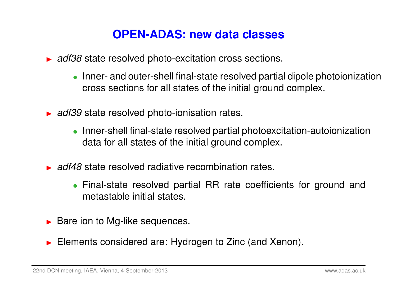## **OPEN-ADAS: new data classes**

- ▶ *adf38* state resolved photo-excitation cross sections.
	- Inner- and outer-shell final-state resolved partial dipole photoionization cross sections for all states of the initial ground complex.
- **► adf39 state resolved photo-ionisation rates.** 
	- Inner-shell final-state resolved partial photoexcitation-autoionization data for all states of the initial ground complex.
- **In adf48 state resolved radiative recombination rates.** 
	- Final-state resolved partial RR rate coefficients for ground and metastable initial states.
- $\blacktriangleright$  Bare ion to Mg-like sequences.
- $\blacktriangleright$  Elements considered are: Hydrogen to Zinc (and Xenon).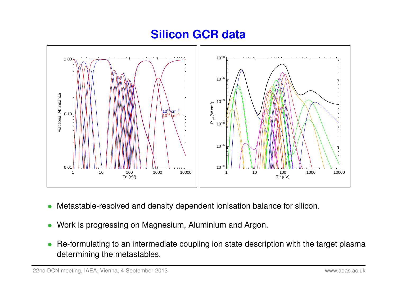### **Silicon GCR data**



- Metastable-resolved and density dependent ionisation balance for silicon.
- Work is progressing on Magnesium, Aluminium and Argon.
- Re-formulating to an intermediate coupling ion state description with the target plasma determining the metastables.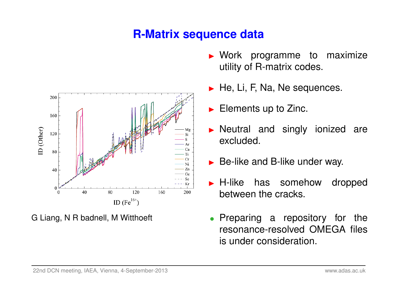# **R-Matrix sequence data**



G Liang, N R badnell, M Witthoeft

- $\blacktriangleright$  Work programme to maximize utility of R-matrix codes.
- $\blacktriangleright$  He, Li, F, Na, Ne sequences.
- $\blacktriangleright$  Elements up to Zinc.
- $\triangleright$  Neutral and singly ionized are excluded.
- $\triangleright$  Be-like and B-like under way.
- **H-like has somehow dropped** between the cracks.
- Preparing a repository for the resonance-resolved OMEGA files is under consideration.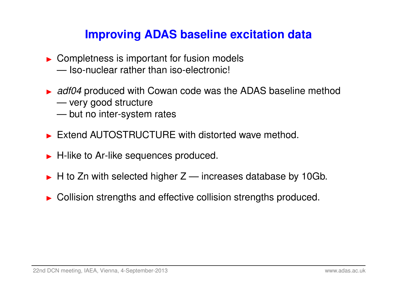# **Improving ADAS baseline excitation data**

- $\triangleright$  Completness is important for fusion models — Iso-nuclear rather than iso-electronic!
- ▶ *adf04* produced with Cowan code was the ADAS baseline method — very good structure
	- but no inter-system rates
- $\triangleright$  Extend AUTOSTRUCTURE with distorted wave method.
- $\blacktriangleright$  H-like to Ar-like sequences produced.
- $\blacktriangleright$  H to Zn with selected higher Z increases database by 10Gb.
- $\triangleright$  Collision strengths and effective collision strengths produced.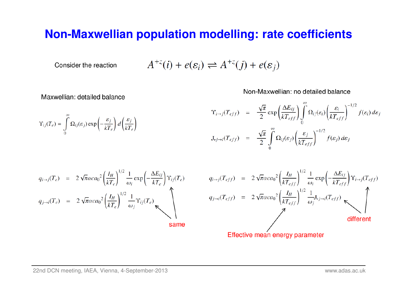### **Non-Maxwellian population modelling: rate coefficients**

Consider the reaction

$$
A^{+z}(i) + e(\varepsilon_i) \rightleftharpoons A^{+z}(j) + e(\varepsilon_j)
$$

Maxwellian: detailed balance

Non-Maxwellian: no detailed balance

$$
\Upsilon_{ij}(T_e) = \int_0^\infty \Omega_{ij}(\varepsilon_j) \exp\left(-\frac{\varepsilon_j}{kT_e}\right) d\left(\frac{\varepsilon_j}{kT_e}\right)
$$
\n
$$
\Upsilon_{i\to j}(T_{eff}) = \frac{\sqrt{\pi}}{2} \exp\left(\frac{\Delta E_{ij}}{kT_{eff}}\right) \int_0^\infty \Omega_{ij}(\varepsilon_i) \left(\frac{\varepsilon_i}{kT_{eff}}\right)^{-1/2} f(\varepsilon_i) d\varepsilon_j
$$
\n
$$
J_{ij\to i}(T_{eff}) = \frac{\sqrt{\pi}}{2} \int_0^\infty \Omega_{ij}(\varepsilon_j) \left(\frac{\varepsilon_j}{kT_{eff}}\right)^{-1/2} f(\varepsilon_j) d\varepsilon_j
$$

$$
q_{i\to j}(T_e) = 2\sqrt{\pi}\alpha ca_0^2 \left(\frac{I_H}{kT_e}\right)^{1/2} \frac{1}{\omega_i} \exp\left(-\frac{\Delta E_{ij}}{kT_e}\right) Y_{ij}(T_e)
$$
  

$$
q_{j\to i}(T_e) = 2\sqrt{\pi}\alpha ca_0^2 \left(\frac{I_H}{kT_e}\right)^{1/2} \frac{1}{\omega_j} Y_{ij}(T_e)
$$

$$
q_{i\rightarrow j}(T_{eff}) = 2\sqrt{\pi}\alpha ca_0^2 \left(\frac{I_H}{kT_{eff}}\right)^{1/2} \frac{1}{\omega_i} \exp\left(-\frac{\Delta E_{ij}}{kT_{eff}}\right) \Upsilon_{i\rightarrow j}(T_{eff})
$$
\n
$$
q_{j\rightarrow i}(T_{eff}) = 2\sqrt{\pi}\alpha ca_0^2 \left(\frac{I_H}{kT_{eff}}\right)^{1/2} \frac{1}{\omega_j} J_{i\rightarrow i}(T_{eff})
$$
\n
$$
\uparrow
$$
\nDifferent differentiation

**Effective mean energy parameter**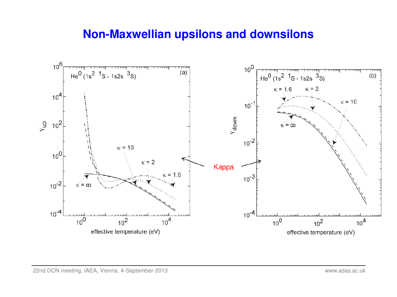### **Non-Maxwellian upsilons and downsilons**

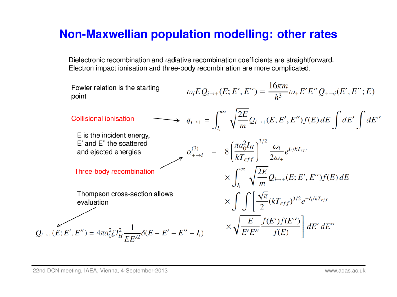### **Non-Maxwellian population modelling: other rates**

Dielectronic recombination and radiative recombination coefficients are straightforward. Electron impact ionisation and three-body recombination are more complicated.

Fourier relation is the starting point

\n1. Consider relation

\n1. Consider the equation:

\n1. Given the equation 
$$
Q_i(x) = \int_{\Omega} \omega_i EQ_{i\to +}(E; E', E'') = \frac{16\pi m}{h^3} \omega_+ E'E''Q_{\to -i}(E', E''; E')
$$

\n2. Given the equation  $Q_i(x) = \int_{\Omega} \omega_i e^{i\omega} \int_{\Omega} dE' \int_{\Omega} dE''$ 

\n2. Given the equation  $Q_i(x) = \int_{\Omega} \omega_i e^{i\omega} \int_{\Omega} dE' \int_{\Omega} dE''$ 

\n3. The equation  $Q_i(x) = \int_{\Omega} \omega_i e^{i\omega} \int_{\Omega} dE' = \int_{\Omega} \omega_i e^{i\omega} \int_{\Omega} dE' = \int_{\Omega} \omega_i e^{i\omega} \int_{\Omega} dE' = \int_{\Omega} \omega_i e^{i\omega} \int_{\Omega} dE' = \int_{\Omega} \omega_i e^{i\omega} \int_{\Omega} dE' = \int_{\Omega} \omega_i e^{i\omega} \int_{\Omega} dE' = \int_{\Omega} \omega_i e^{i\omega} \int_{\Omega} dE' = \int_{\Omega} \omega_i e^{i\omega} \int_{\Omega} dE' = \int_{\Omega} \omega_i e^{i\omega} \int_{\Omega} dE' = \int_{\Omega} \omega_i e^{i\omega} \int_{\Omega} dE' = \int_{\Omega} \omega_i e^{i\omega} \int_{\Omega} dE' = \int_{\Omega} \omega_i e^{i\omega} \int_{\Omega} dE' = \int_{\Omega} \omega_i e^{i\omega} \int_{\Omega} dE' = \int_{\Omega} \omega_i e^{i\omega} \int_{\Omega} dE' = \int_{\Omega} \omega_i e^{i\omega} \int_{\Omega} dE' = \int_{\Omega} \omega_i e^{i\omega} \int_{\Omega} dE' = \int_{\Omega} \omega_i e^{i\omega} \int_{\Omega} dE' = \int_{\Omega} \omega_i e^{i\omega} \int_{\Omega} dE' = \int_{\Omega} \omega_i e^{i\omega} \int_{\Omega} dE' = \int_{\Omega} \omega_i e^{i\omega} \int_{\Omega} dE' = \int_{\Omega} \omega_i e^{i\omega} \int_{\Omega} dE' = \int_{\Omega$